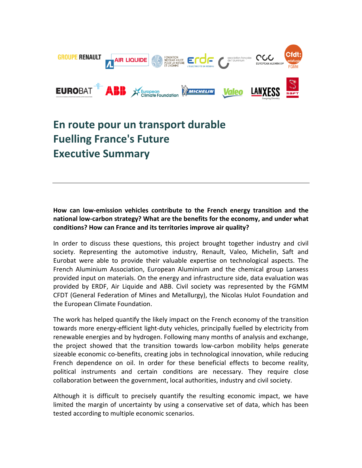

## **En route pour un transport durable Fuelling France's Future Executive Summary**

## **How can low-emission vehicles contribute to the French energy transition and the national low-carbon strategy? What are the benefits for the economy, and under what conditions? How can France and its territories improve air quality?**

In order to discuss these questions, this project brought together industry and civil society. Representing the automotive industry, Renault, Valeo, Michelin, Saft and Eurobat were able to provide their valuable expertise on technological aspects. The French Aluminium Association, European Aluminium and the chemical group Lanxess provided input on materials. On the energy and infrastructure side, data evaluation was provided by ERDF, Air Liquide and ABB. Civil society was represented by the FGMM CFDT (General Federation of Mines and Metallurgy), the Nicolas Hulot Foundation and the European Climate Foundation.

The work has helped quantify the likely impact on the French economy of the transition towards more energy-efficient light-duty vehicles, principally fuelled by electricity from renewable energies and by hydrogen. Following many months of analysis and exchange, the project showed that the transition towards low-carbon mobility helps generate sizeable economic co-benefits, creating jobs in technological innovation, while reducing French dependence on oil. In order for these beneficial effects to become reality, political instruments and certain conditions are necessary. They require close collaboration between the government, local authorities, industry and civil society.

Although it is difficult to precisely quantify the resulting economic impact, we have limited the margin of uncertainty by using a conservative set of data, which has been tested according to multiple economic scenarios.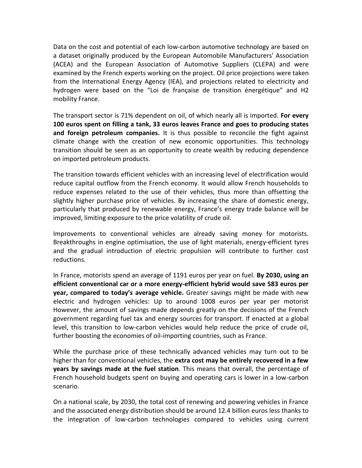Data on the cost and potential of each low-carbon automotive technology are based on a dataset originally produced by the European Automobile Manufacturers' Association (ACEA) and the European Association of Automotive Suppliers (CLEPA) and were examined by the French experts working on the project. Oil price projections were taken from the International Energy Agency (IEA), and projections related to electricity and hydrogen were based on the "Loi de française de transition énergétique" and H2 mobility France.

The transport sector is 71% dependent on oil, of which nearly all is imported. **For every 100 euros spent on filling a tank, 33 euros leaves France and goes to producing states and foreign petroleum companies.** It is thus possible to reconcile the fight against climate change with the creation of new economic opportunities. This technology transition should be seen as an opportunity to create wealth by reducing dependence on imported petroleum products.

The transition towards efficient vehicles with an increasing level of electrification would reduce capital outflow from the French economy. It would allow French households to reduce expenses related to the use of their vehicles, thus more than offsetting the slightly higher purchase price of vehicles. By increasing the share of domestic energy, particularly that produced by renewable energy, France's energy trade balance will be improved, limiting exposure to the price volatility of crude oil.

Improvements to conventional vehicles are already saving money for motorists. Breakthroughs in engine optimisation, the use of light materials, energy-efficient tyres and the gradual introduction of electric propulsion will contribute to further cost reductions.

In France, motorists spend an average of 1191 euros per year on fuel. **By 2030, using an efficient conventional car or a more energy-efficient hybrid would save 583 euros per year, compared to today's average vehicle.** Greater savings might be made with new electric and hydrogen vehicles: Up to around 1008 euros per year per motorist However, the amount of savings made depends greatly on the decisions of the French government regarding fuel tax and energy sources for transport. If enacted at a global level, this transition to low-carbon vehicles would help reduce the price of crude oil, further boosting the economies of oil-importing countries, such as France.

While the purchase price of these technically advanced vehicles may turn out to be higher than for conventional vehicles, the **extra cost may be entirely recovered in a few years by savings made at the fuel station**. This means that overall, the percentage of French household budgets spent on buying and operating cars is lower in a low-carbon scenario.

On a national scale, by 2030, the total cost of renewing and powering vehicles in France and the associated energy distribution should be around 12.4 billion euros less thanks to the integration of low-carbon technologies compared to vehicles using current